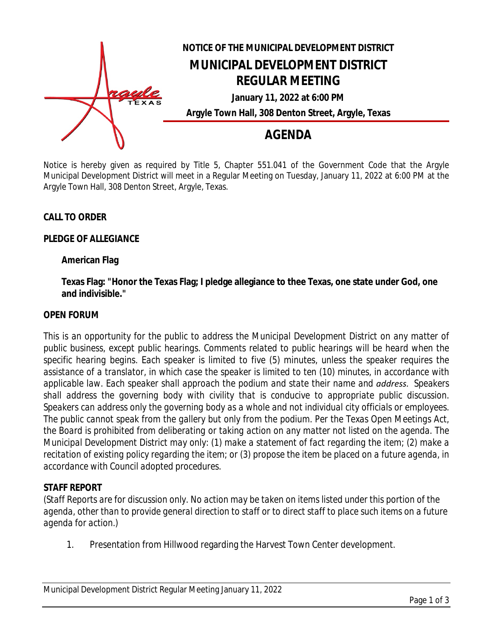

# **NOTICE OF THE MUNICIPAL DEVELOPMENT DISTRICT MUNICIPAL DEVELOPMENT DISTRICT REGULAR MEETING January 11, 2022 at 6:00 PM**

**Argyle Town Hall, 308 Denton Street, Argyle, Texas**

# **AGENDA**

Notice is hereby given as required by Title 5, Chapter 551.041 of the Government Code that the Argyle Municipal Development District will meet in a Regular Meeting on Tuesday, January 11, 2022 at 6:00 PM at the Argyle Town Hall, 308 Denton Street, Argyle, Texas.

# **CALL TO ORDER**

#### **PLEDGE OF ALLEGIANCE**

# **American Flag**

**Texas Flag: "Honor the Texas Flag; I pledge allegiance to thee Texas, one state under God, one and indivisible."**

#### **OPEN FORUM**

*This is an opportunity for the public to address the Municipal Development District on any matter of public business, except public hearings. Comments related to public hearings will be heard when the specific hearing begins. Each speaker is limited to five (5) minutes, unless the speaker requires the* assistance of a translator, in which case the speaker is limited to ten (10) minutes, in accordance with *applicable law. Each speaker shall approach the podium and state their name and address. Speakers shall address the governing body with civility that is conducive to appropriate public discussion. Speakers can address only the governing body as a whole and not individual city officials or employees.* The public cannot speak from the gallery but only from the podium. Per the Texas Open Meetings Act, the Board is prohibited from deliberating or taking action on any matter not listed on the agenda. The *Municipal Development District may only: (1) make a statement of fact regarding the item; (2) make a* recitation of existing policy regarding the item; or (3) propose the item be placed on a future agenda, in *accordance with Council adopted procedures.*

# **STAFF REPORT**

*(Staff Reports are for discussion only. No action may be taken on items listed under this portion of the agenda, other than to provide general direction to staff or to direct staff to place such items on a future agenda for action.)*

1. Presentation from Hillwood regarding the Harvest Town Center development.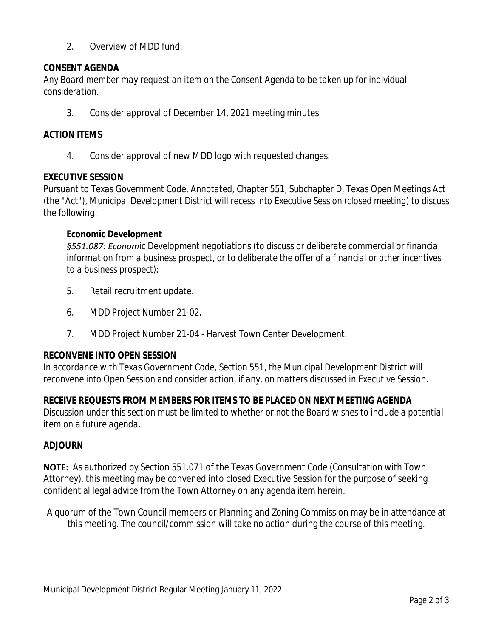2. Overview of MDD fund.

# **CONSENT AGENDA**

*Any Board member may request an item on the Consent Agenda to be taken up for individual consideration.*

3. Consider approval of December 14, 2021 meeting minutes.

#### **ACTION ITEMS**

4. Consider approval of new MDD logo with requested changes.

#### **EXECUTIVE SESSION**

*Pursuant to Texas Government Code, Annotated, Chapter 551, Subchapter D, Texas Open Meetings Act (the "Act"), Municipal Development District will recess into Executive Session (closed meeting) to discuss the following:*

#### **Economic Development**

*§551.087: Economic Development negotiations (to discuss or deliberate commercial or financial information from a business prospect, or to deliberate the offer of a financial or other incentives to a business prospect):*

- 5. Retail recruitment update.
- 6. MDD Project Number 21-02.
- 7. MDD Project Number 21-04 Harvest Town Center Development.

# **RECONVENE INTO OPEN SESSION**

*In accordance with Texas Government Code, Section 551, the Municipal Development District will reconvene into Open Session and consider action, if any, on matters discussed in Executive Session.*

#### **RECEIVE REQUESTS FROM MEMBERS FOR ITEMS TO BE PLACED ON NEXT MEETING AGENDA**

*Discussion under this section must be limited to whether or not the Board wishes to include a potential item on a future agenda.*

#### **ADJOURN**

**NOTE:** As authorized by Section 551.071 of the Texas Government Code (Consultation with Town Attorney), this meeting may be convened into closed Executive Session for the purpose of seeking confidential legal advice from the Town Attorney on any agenda item herein.

A quorum of the Town Council members or Planning and Zoning Commission may be in attendance at this meeting. The council/commission will take no action during the course of this meeting.